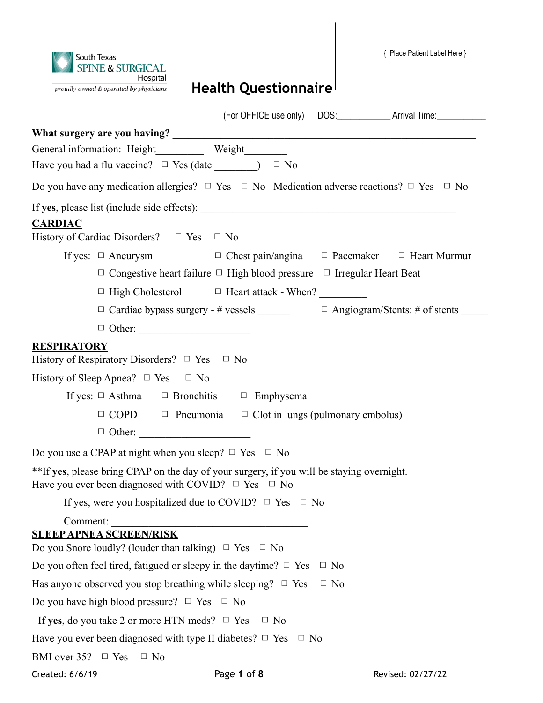{ Place Patient Label Here } South Texas **SPINE & SURGICAL** Hospital **Health Questionnaire** proudly owned & operated by physicians (For OFFICE use only) DOS:\_\_\_\_\_\_\_\_\_\_\_\_ Arrival Time:\_\_\_\_\_\_\_\_\_\_\_ What surgery are you having? General information: Height Weight Have you had a flu vaccine?  $\Box$  Yes (date  $\Box$ )  $\Box$  No Do you have any medication allergies?  $\Box$  Yes  $\Box$  No Medication adverse reactions?  $\Box$  Yes  $\Box$  No If **yes**, please list (include side effects): \_\_\_\_\_\_\_\_\_\_\_\_\_\_\_\_\_\_\_\_\_\_\_\_\_\_\_\_\_\_\_\_\_\_\_\_\_\_\_\_\_\_\_\_\_\_\_\_ **CARDIAC** History of Cardiac Disorders?  $\Box$  Yes  $\Box$  No If yes:  $\Box$  Aneurysm  $\Box$  Chest pain/angina  $\Box$  Pacemaker  $\Box$  Heart Murmur □ Congestive heart failure □ High blood pressure □ Irregular Heart Beat  $\Box$  High Cholesterol  $\Box$  Heart attack - When?  $\Box$  Cardiac bypass surgery - # vessels  $\Box$  Angiogram/Stents: # of stents  $\Box$  Other: **RESPIRATORY**  History of Respiratory Disorders?  $\Box$  Yes  $\Box$  No History of Sleep Apnea?  $\Box$  Yes  $\Box$  No If yes:  $\Box$  Asthma  $\Box$  Bronchitis  $\Box$  Emphysema  $\Box$  COPD  $\Box$  Pneumonia  $\Box$  Clot in lungs (pulmonary embolus) □ Other: \_\_\_\_\_\_\_\_\_\_\_\_\_\_\_\_\_\_\_\_\_ Do you use a CPAP at night when you sleep?  $\Box$  Yes  $\Box$  No \*\*If **yes**, please bring CPAP on the day of your surgery, if you will be staying overnight. Have you ever been diagnosed with COVID?  $\Box$  Yes  $\Box$  No If yes, were you hospitalized due to COVID?  $\Box$  Yes  $\Box$  No Comment: **SLEEP APNEA SCREEN/RISK**  Do you Snore loudly? (louder than talking)  $\Box$  Yes  $\Box$  No Do you often feel tired, fatigued or sleepy in the daytime?  $\Box$  Yes  $\Box$  No Has anyone observed you stop breathing while sleeping?  $\Box$  Yes  $\Box$  No Do you have high blood pressure?  $\Box$  Yes  $\Box$  No If **yes**, do you take 2 or more HTN meds?  $\Box$  Yes  $\Box$  No Have you ever been diagnosed with type II diabetes?  $\Box$  Yes  $\Box$  No BMI over  $35? \square$  Yes  $\square$  No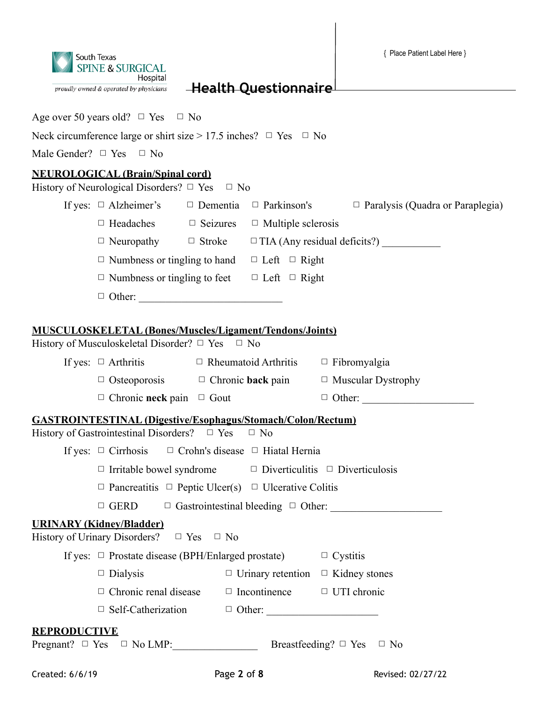{ Place Patient Label Here }



**Health Questionnaire**

Age over 50 years old?  $\Box$  Yes  $\Box$  No

Neck circumference large or shirt size > 17.5 inches?  $\Box$  Yes  $\Box$  No

Male Gender?  $\Box$  Yes  $\Box$  No

### **NEUROLOGICAL (Brain/Spinal cord)**

|                     | <b>NEUROLOGICAL (Brain/Spinal cord)</b><br>History of Neurological Disorders? $\Box$ Yes $\Box$ No                          |                                               |                                                                                                       |  |  |  |
|---------------------|-----------------------------------------------------------------------------------------------------------------------------|-----------------------------------------------|-------------------------------------------------------------------------------------------------------|--|--|--|
|                     |                                                                                                                             |                                               | If yes: $\Box$ Alzheimer's $\Box$ Dementia $\Box$ Parkinson's $\Box$ Paralysis (Quadra or Paraplegia) |  |  |  |
|                     | $\Box$ Headaches $\Box$ Seizures $\Box$ Multiple sclerosis                                                                  |                                               |                                                                                                       |  |  |  |
|                     |                                                                                                                             |                                               |                                                                                                       |  |  |  |
|                     | $\Box$ Numbness or tingling to hand $\Box$ Left $\Box$ Right                                                                |                                               |                                                                                                       |  |  |  |
|                     | $\Box$ Numbness or tingling to feet $\Box$ Left $\Box$ Right                                                                |                                               |                                                                                                       |  |  |  |
|                     |                                                                                                                             |                                               |                                                                                                       |  |  |  |
|                     |                                                                                                                             |                                               |                                                                                                       |  |  |  |
|                     | <b>MUSCULOSKELETAL (Bones/Muscles/Ligament/Tendons/Joints)</b><br>History of Musculoskeletal Disorder? $\Box$ Yes $\Box$ No |                                               |                                                                                                       |  |  |  |
|                     | If yes: $\Box$ Arthritis $\Box$ Rheumatoid Arthritis $\Box$ Fibromyalgia                                                    |                                               |                                                                                                       |  |  |  |
|                     | $\Box$ Osteoporosis $\Box$ Chronic back pain $\Box$ Muscular Dystrophy                                                      |                                               |                                                                                                       |  |  |  |
|                     | $\Box$ Chronic neck pain $\Box$ Gout                                                                                        |                                               |                                                                                                       |  |  |  |
|                     | <b>GASTROINTESTINAL (Digestive/Esophagus/Stomach/Colon/Rectum)</b>                                                          |                                               |                                                                                                       |  |  |  |
|                     | History of Gastrointestinal Disorders? $\Box$ Yes                                                                           | $\Box$ No                                     |                                                                                                       |  |  |  |
|                     | If yes: $\Box$ Cirrhosis $\Box$ Crohn's disease $\Box$ Hiatal Hernia                                                        |                                               |                                                                                                       |  |  |  |
|                     | $\Box$ Irritable bowel syndrome $\Box$ Diverticulitis $\Box$ Diverticulosis                                                 |                                               |                                                                                                       |  |  |  |
|                     | $\Box$ Pancreatitis $\Box$ Peptic Ulcer(s) $\Box$ Ulcerative Colitis                                                        |                                               |                                                                                                       |  |  |  |
|                     |                                                                                                                             |                                               | $\Box$ GERD $\Box$ Gastrointestinal bleeding $\Box$ Other:                                            |  |  |  |
|                     | <b>URINARY (Kidney/Bladder)</b><br>History of Urinary Disorders? $\Box$ Yes $\Box$ No                                       |                                               |                                                                                                       |  |  |  |
|                     | If yes: $\Box$ Prostate disease (BPH/Enlarged prostate) $\Box$ Cystitis                                                     |                                               |                                                                                                       |  |  |  |
|                     | $\Box$ Dialysis                                                                                                             | $\Box$ Urinary retention $\Box$ Kidney stones |                                                                                                       |  |  |  |
|                     | $\Box$ Chronic renal disease                                                                                                | $\Box$ Incontinence $\Box$ UTI chronic        |                                                                                                       |  |  |  |
|                     |                                                                                                                             |                                               |                                                                                                       |  |  |  |
| <u>REPRODUCTIVE</u> | $\text{Pregnant?} \quad \Box \quad \text{Yes} \quad \Box \quad \text{No LMP:}$                                              |                                               | Breastfeeding? $\Box$ Yes $\Box$ No                                                                   |  |  |  |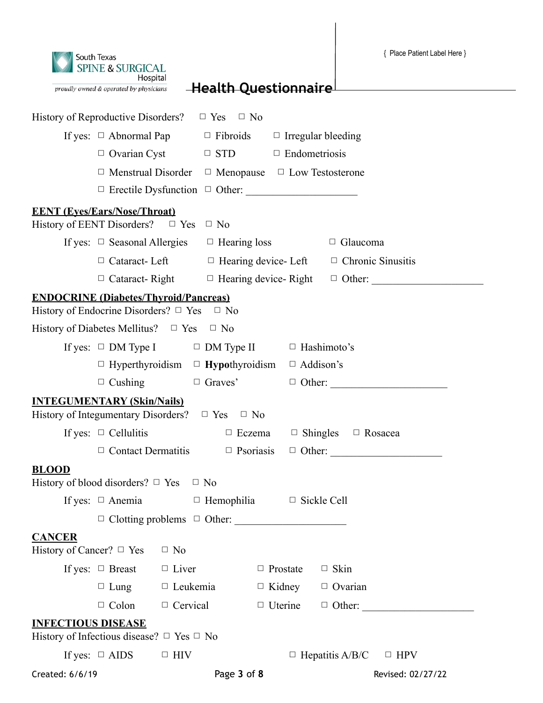| South Texas<br><b>SPINE &amp; SURGICAL</b><br>Hospital |
|--------------------------------------------------------|
| proudly owned & operated by physicians                 |

| History of Reproductive Disorders? $\Box$ Yes $\Box$ No                                              |                                                                            |                 |                  |                             |                                              |                                                                 |
|------------------------------------------------------------------------------------------------------|----------------------------------------------------------------------------|-----------------|------------------|-----------------------------|----------------------------------------------|-----------------------------------------------------------------|
|                                                                                                      | If yes: $\Box$ Abnormal Pap $\Box$ Fibroids $\Box$ Irregular bleeding      |                 |                  |                             |                                              |                                                                 |
|                                                                                                      | $\Box$ Ovarian Cyst $\Box$ STD $\Box$ Endometriosis                        |                 |                  |                             |                                              |                                                                 |
|                                                                                                      | $\Box$ Menstrual Disorder $\Box$ Menopause $\Box$ Low Testosterone         |                 |                  |                             |                                              |                                                                 |
|                                                                                                      |                                                                            |                 |                  |                             |                                              |                                                                 |
| <b>EENT</b> (Eyes/Ears/Nose/Throat)<br>History of EENT Disorders? $\Box$ Yes $\Box$ No               |                                                                            |                 |                  |                             |                                              |                                                                 |
|                                                                                                      | If yes: $\Box$ Seasonal Allergies $\Box$ Hearing loss                      |                 |                  |                             | $\Box$ Glaucoma                              |                                                                 |
|                                                                                                      | $\Box$ Cataract- Left $\Box$ Hearing device- Left $\Box$ Chronic Sinusitis |                 |                  |                             |                                              |                                                                 |
|                                                                                                      |                                                                            |                 |                  |                             |                                              | $\Box$ Cataract-Right $\Box$ Hearing device-Right $\Box$ Other: |
| <b>ENDOCRINE (Diabetes/Thyroid/Pancreas)</b><br>History of Endocrine Disorders? $\Box$ Yes $\Box$ No |                                                                            |                 |                  |                             |                                              |                                                                 |
| History of Diabetes Mellitus? $\Box$ Yes $\Box$ No                                                   |                                                                            |                 |                  |                             |                                              |                                                                 |
|                                                                                                      | If yes: $\Box$ DM Type I $\Box$ DM Type II $\Box$ Hashimoto's              |                 |                  |                             |                                              |                                                                 |
|                                                                                                      | $\Box$ Hyperthyroidism $\Box$ Hypothyroidism $\Box$ Addison's              |                 |                  |                             |                                              |                                                                 |
|                                                                                                      | $\Box$ Cushing $\Box$ Graves'                                              |                 |                  |                             |                                              |                                                                 |
| <b>INTEGUMENTARY (Skin/Nails)</b><br>History of Integumentary Disorders? $\Box$ Yes $\Box$ No        |                                                                            |                 |                  |                             |                                              |                                                                 |
|                                                                                                      | If yes: $\Box$ Cellulitis                                                  |                 |                  |                             | $\Box$ Eczema $\Box$ Shingles $\Box$ Rosacea |                                                                 |
|                                                                                                      | $\Box$ Contact Dermatitis                                                  |                 | $\Box$ Psoriasis |                             |                                              |                                                                 |
| <b>BLOOD</b><br>History of blood disorders? $\Box$ Yes $\Box$ No                                     |                                                                            |                 |                  |                             |                                              |                                                                 |
|                                                                                                      | If yes: $\Box$ Anemia $\Box$ Hemophilia $\Box$ Sickle Cell                 |                 |                  |                             |                                              |                                                                 |
|                                                                                                      | $\Box$ Clotting problems $\Box$ Other:                                     |                 |                  |                             |                                              |                                                                 |
| <b>CANCER</b><br>History of Cancer? $\Box$ Yes $\Box$ No                                             |                                                                            |                 |                  |                             |                                              |                                                                 |
|                                                                                                      | If yes: $\Box$ Breast $\Box$ Liver                                         |                 |                  | $\Box$ Prostate $\Box$ Skin |                                              |                                                                 |
|                                                                                                      | $\Box$ Lung $\Box$ Leukemia                                                |                 |                  | $\Box$ Kidney               | $\Box$ Ovarian                               |                                                                 |
|                                                                                                      | $\Box$ Colon                                                               | $\Box$ Cervical |                  | $\Box$ Uterine              |                                              |                                                                 |
| <b>INFECTIOUS DISEASE</b><br>History of Infectious disease? $\Box$ Yes $\Box$ No                     |                                                                            |                 |                  |                             |                                              |                                                                 |
|                                                                                                      | If yes: $\Box$ AIDS                                                        | $\Box$ HIV      |                  |                             | $\Box$ Hepatitis A/B/C                       | $\Box$ HPV                                                      |
| Created: 6/6/19                                                                                      |                                                                            |                 | Page 3 of 8      |                             |                                              | Revised: 02/27/22                                               |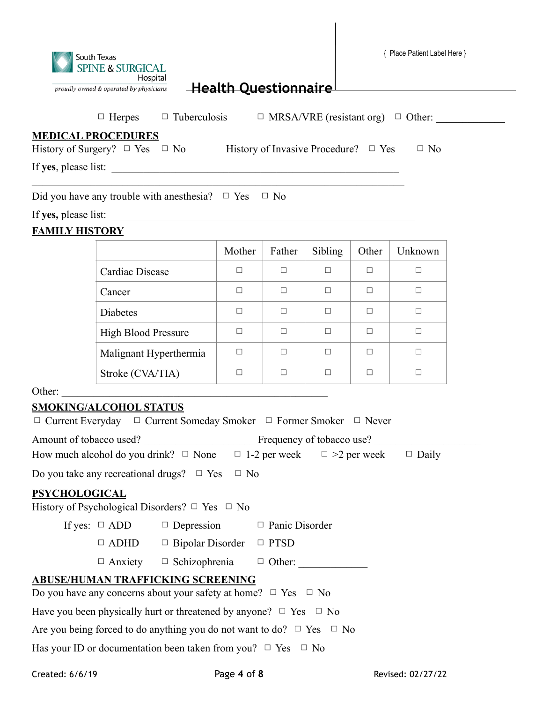$\mathcal{L}_\text{max}$  and  $\mathcal{L}_\text{max}$  and  $\mathcal{L}_\text{max}$  and  $\mathcal{L}_\text{max}$  and  $\mathcal{L}_\text{max}$  and  $\mathcal{L}_\text{max}$ 

 $\Box$  Herpes  $\Box$  Tuberculosis  $\Box$  MRSA/VRE (resistant org)  $\Box$  Other:

### **MEDICAL PROCEDURES**

History of Surgery?  $\Box$  Yes  $\Box$  No History of Invasive Procedure?  $\Box$  Yes  $\Box$  No

If **yes**, please list: \_\_\_\_\_\_\_\_\_\_\_\_\_\_\_\_\_\_\_\_\_\_\_\_\_\_\_\_\_\_\_\_\_\_\_\_\_\_\_\_\_\_\_\_\_\_\_\_\_\_\_\_\_\_

Did you have any trouble with anesthesia?  $\Box$  Yes  $\Box$  No

If yes, please list:

### **FAMILY HISTORY**

|                            | Mother | Father | Sibling | Other | Unknown |
|----------------------------|--------|--------|---------|-------|---------|
| Cardiac Disease            | П      | П      | П       | П     |         |
| Cancer                     | г      | П      | П       | П     |         |
| Diabetes                   | П      | П      | П       | ⊓     |         |
| <b>High Blood Pressure</b> | П      | П      | П       | □     |         |
| Malignant Hyperthermia     |        | П      | П       | Г     |         |
| Stroke (CVA/TIA)           |        | ┓      |         |       |         |

Other:

### **SMOKING/ALCOHOL STATUS**

| $\Box$ Current Everyday $\Box$ Current Someday Smoker $\Box$ Former Smoker $\Box$ Never        |  |  |  |  |  |
|------------------------------------------------------------------------------------------------|--|--|--|--|--|
|                                                                                                |  |  |  |  |  |
| How much alcohol do you drink? $\Box$ None $\Box$ 1-2 per week $\Box$ >2 per week $\Box$ Daily |  |  |  |  |  |
| Do you take any recreational drugs? $\Box$ Yes<br>$\Box$ No                                    |  |  |  |  |  |
| <b>PSYCHOLOGICAL</b>                                                                           |  |  |  |  |  |
| History of Psychological Disorders? $\Box$ Yes $\Box$ No                                       |  |  |  |  |  |
| If yes: $\Box$ ADD $\Box$ Depression $\Box$ Panic Disorder                                     |  |  |  |  |  |
| $\Box$ ADHD $\Box$ Bipolar Disorder $\Box$ PTSD                                                |  |  |  |  |  |
| $\Box$ Anxiety $\Box$ Schizophrenia $\Box$ Other:                                              |  |  |  |  |  |
| <b>ABUSE/HUMAN TRAFFICKING SCREENING</b>                                                       |  |  |  |  |  |
| Do you have any concerns about your safety at home? $\Box$ Yes $\Box$ No                       |  |  |  |  |  |
| Have you been physically hurt or threatened by anyone? $\Box$ Yes $\Box$ No                    |  |  |  |  |  |
| Are you being forced to do anything you do not want to do? $\Box$ Yes $\Box$ No                |  |  |  |  |  |
| Has your ID or documentation been taken from you? $\Box$ Yes $\Box$ No                         |  |  |  |  |  |
|                                                                                                |  |  |  |  |  |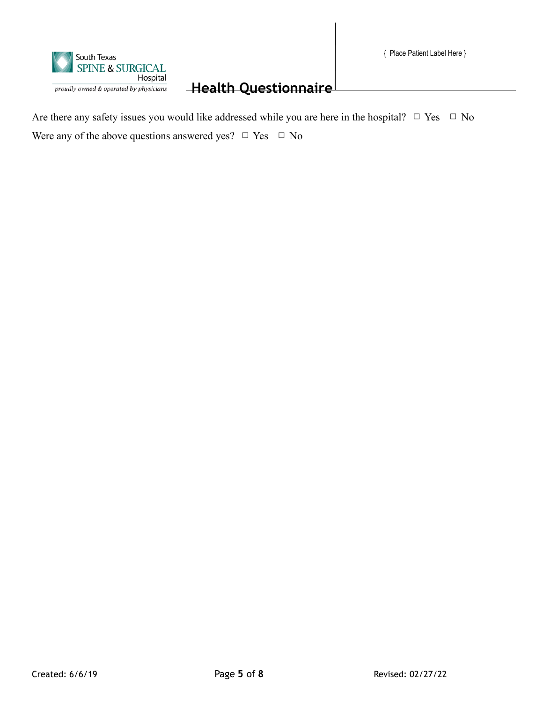

Are there any safety issues you would like addressed while you are here in the hospital?  $\Box$  Yes  $\Box$  No Were any of the above questions answered yes?  $\Box$  Yes  $\Box$  No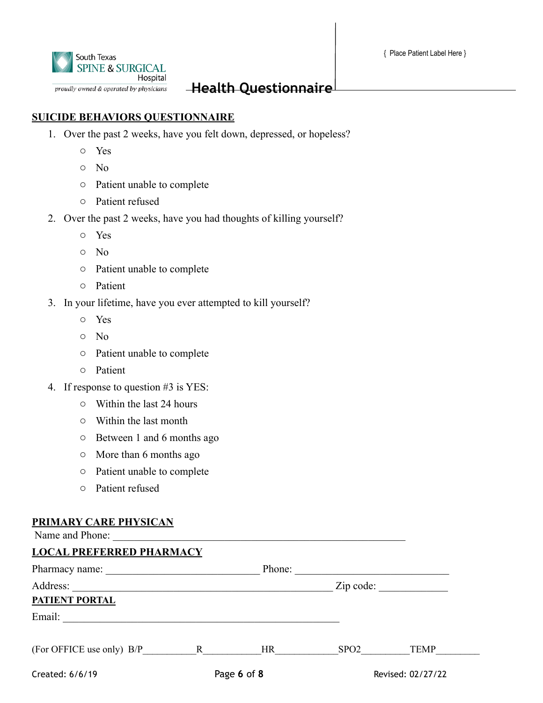

### **SUICIDE BEHAVIORS QUESTIONNAIRE**

- 1. Over the past 2 weeks, have you felt down, depressed, or hopeless?
	- o Yes
	- o No
	- o Patient unable to complete
	- o Patient refused
- 2. Over the past 2 weeks, have you had thoughts of killing yourself?
	- o Yes
	- o No
	- o Patient unable to complete
	- o Patient
- 3. In your lifetime, have you ever attempted to kill yourself?
	- o Yes
	- o No
	- o Patient unable to complete
	- o Patient
- 4. If response to question #3 is YES:
	- o Within the last 24 hours
	- o Within the last month
	- o Between 1 and 6 months ago
	- o More than 6 months ago
	- o Patient unable to complete
	- o Patient refused

#### **PRIMARY CARE PHYSICAN**

| Name and Phone:                                                                                                                                                                                                                |  |                      |                  |                   |  |  |
|--------------------------------------------------------------------------------------------------------------------------------------------------------------------------------------------------------------------------------|--|----------------------|------------------|-------------------|--|--|
| <b>LOCAL PREFERRED PHARMACY</b>                                                                                                                                                                                                |  |                      |                  |                   |  |  |
|                                                                                                                                                                                                                                |  | Phone:               |                  |                   |  |  |
| Address:<br><u> 1989 - Johann John Stone, mars et al. 1989 - John Stone, mars et al. 1989 - John Stone, mars et al. 1989 - John Stone</u>                                                                                      |  | $\mathsf{Zip code:}$ |                  |                   |  |  |
| PATIENT PORTAL                                                                                                                                                                                                                 |  |                      |                  |                   |  |  |
| Email: The Communication of the Communication of the Communication of the Communication of the Communication of the Communication of the Communication of the Communication of the Communication of the Communication of the C |  |                      |                  |                   |  |  |
| $(For OFFICE use only) B/P$ R                                                                                                                                                                                                  |  | HR <sub>1</sub>      | SPO <sub>2</sub> | TEMP              |  |  |
| Created: 6/6/19                                                                                                                                                                                                                |  | Page 6 of 8          |                  | Revised: 02/27/22 |  |  |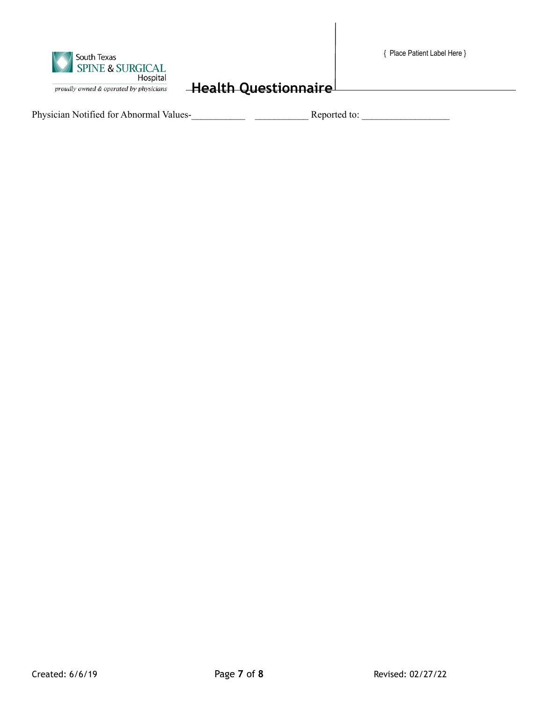|  |  | { Place Patient Label Here } |  |  |  |
|--|--|------------------------------|--|--|--|
|--|--|------------------------------|--|--|--|



Physician Notified for Abnormal Values-<br>Reported to: